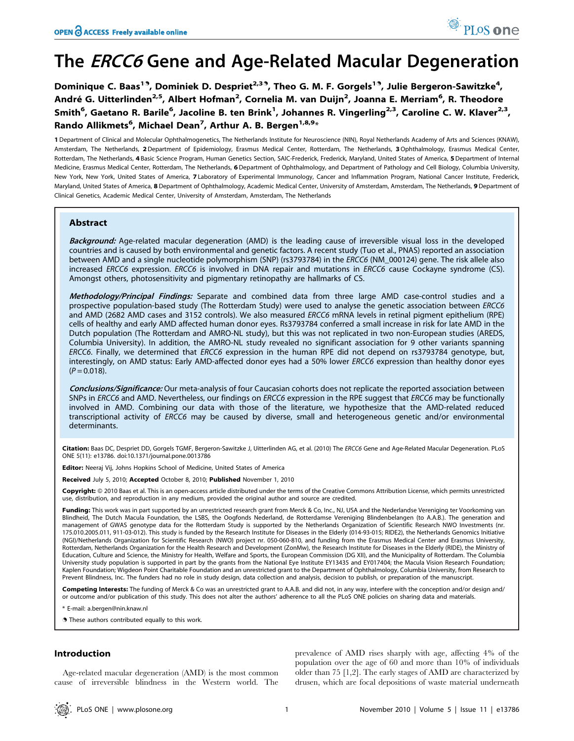# The *ERCC6* Gene and Age-Related Macular Degeneration

Dominique C. Baas<sup>19</sup>, Dominiek D. Despriet<sup>2,39</sup>, Theo G. M. F. Gorgels<sup>19</sup>, Julie Bergeron-Sawitzke<sup>4</sup>, André G. Uitterlinden<sup>2,5</sup>, Albert Hofman<sup>2</sup>, Cornelia M. van Duijn<sup>2</sup>, Joanna E. Merriam<sup>6</sup>, R. Theodore Smith<sup>6</sup>, Gaetano R. Barile<sup>6</sup>, Jacoline B. ten Brink<sup>1</sup>, Johannes R. Vingerling<sup>2,3</sup>, Caroline C. W. Klaver<sup>2,3</sup>, Rando Allikmets<sup>6</sup>, Michael Dean<sup>7</sup>, Arthur A. B. Bergen<sup>1,8,9</sup>\*

1 Department of Clinical and Molecular Ophthalmogenetics, The Netherlands Institute for Neuroscience (NIN), Royal Netherlands Academy of Arts and Sciences (KNAW), Amsterdam, The Netherlands, 2 Department of Epidemiology, Erasmus Medical Center, Rotterdam, The Netherlands, 3Ophthalmology, Erasmus Medical Center, Rotterdam, The Netherlands, 4 Basic Science Program, Human Genetics Section, SAIC-Frederick, Frederick, Maryland, United States of America, 5 Department of Internal Medicine, Erasmus Medical Center, Rotterdam, The Netherlands, 6 Department of Ophthalmology, and Department of Pathology and Cell Biology, Columbia University, New York, New York, United States of America, 7 Laboratory of Experimental Immunology, Cancer and Inflammation Program, National Cancer Institute, Frederick, Maryland, United States of America, 8 Department of Ophthalmology, Academic Medical Center, University of Amsterdam, Amsterdam, The Netherlands, 9 Department of Clinical Genetics, Academic Medical Center, University of Amsterdam, Amsterdam, The Netherlands

# Abstract

Background: Age-related macular degeneration (AMD) is the leading cause of irreversible visual loss in the developed countries and is caused by both environmental and genetic factors. A recent study (Tuo et al., PNAS) reported an association between AMD and a single nucleotide polymorphism (SNP) (rs3793784) in the ERCC6 (NM\_000124) gene. The risk allele also increased ERCC6 expression. ERCC6 is involved in DNA repair and mutations in ERCC6 cause Cockayne syndrome (CS). Amongst others, photosensitivity and pigmentary retinopathy are hallmarks of CS.

Methodology/Principal Findings: Separate and combined data from three large AMD case-control studies and a prospective population-based study (The Rotterdam Study) were used to analyse the genetic association between ERCC6 and AMD (2682 AMD cases and 3152 controls). We also measured ERCC6 mRNA levels in retinal pigment epithelium (RPE) cells of healthy and early AMD affected human donor eyes. Rs3793784 conferred a small increase in risk for late AMD in the Dutch population (The Rotterdam and AMRO-NL study), but this was not replicated in two non-European studies (AREDS, Columbia University). In addition, the AMRO-NL study revealed no significant association for 9 other variants spanning ERCC6. Finally, we determined that ERCC6 expression in the human RPE did not depend on rs3793784 genotype, but, interestingly, on AMD status: Early AMD-affected donor eyes had a 50% lower ERCC6 expression than healthy donor eyes  $(P = 0.018)$ .

Conclusions/Significance: Our meta-analysis of four Caucasian cohorts does not replicate the reported association between SNPs in ERCC6 and AMD. Nevertheless, our findings on ERCC6 expression in the RPE suggest that ERCC6 may be functionally involved in AMD. Combining our data with those of the literature, we hypothesize that the AMD-related reduced transcriptional activity of ERCC6 may be caused by diverse, small and heterogeneous genetic and/or environmental determinants.

Citation: Baas DC, Despriet DD, Gorgels TGMF, Bergeron-Sawitzke J, Uitterlinden AG, et al. (2010) The ERCC6 Gene and Age-Related Macular Degeneration. PLoS ONE 5(11): e13786. doi:10.1371/journal.pone.0013786

Editor: Neeraj Vij, Johns Hopkins School of Medicine, United States of America

Received July 5, 2010; Accepted October 8, 2010; Published November 1, 2010

**Copyright:** © 2010 Baas et al. This is an open-access article distributed under the terms of the Creative Commons Attribution License, which permits unrestricted use, distribution, and reproduction in any medium, provided the original author and source are credited.

Funding: This work was in part supported by an unrestricted research grant from Merck & Co, Inc., NJ, USA and the Nederlandse Vereniging ter Voorkoming van Blindheid, The Dutch Macula Foundation, the LSBS, the Oogfonds Nederland, de Rotterdamse Vereniging Blindenbelangen (to A.A.B.). The generation and management of GWAS genotype data for the Rotterdam Study is supported by the Netherlands Organization of Scientific Research NWO Investments (nr. 175.010.2005.011, 911-03-012). This study is funded by the Research Institute for Diseases in the Elderly (014-93-015; RIDE2), the Netherlands Genomics Initiative (NGI)/Netherlands Organization for Scientific Research (NWO) project nr. 050-060-810, and funding from the Erasmus Medical Center and Erasmus University, Rotterdam, Netherlands Organization for the Health Research and Development (ZonMw), the Research Institute for Diseases in the Elderly (RIDE), the Ministry of Education, Culture and Science, the Ministry for Health, Welfare and Sports, the European Commission (DG XII), and the Municipality of Rotterdam. The Columbia University study population is supported in part by the grants from the National Eye Institute EY13435 and EY017404; the Macula Vision Research Foundation; Kaplen Foundation; Wigdeon Point Charitable Foundation and an unrestricted grant to the Department of Ophthalmology, Columbia University, from Research to Prevent Blindness, Inc. The funders had no role in study design, data collection and analysis, decision to publish, or preparation of the manuscript.

Competing Interests: The funding of Merck & Co was an unrestricted grant to A.A.B. and did not, in any way, interfere with the conception and/or design and/ or outcome and/or publication of this study. This does not alter the authors' adherence to all the PLoS ONE policies on sharing data and materials.

E-mail: a.bergen@nin.knaw.nl

. These authors contributed equally to this work.

# Introduction

Age-related macular degeneration (AMD) is the most common cause of irreversible blindness in the Western world. The

prevalence of AMD rises sharply with age, affecting 4% of the population over the age of 60 and more than 10% of individuals older than 75 [1,2]. The early stages of AMD are characterized by drusen, which are focal depositions of waste material underneath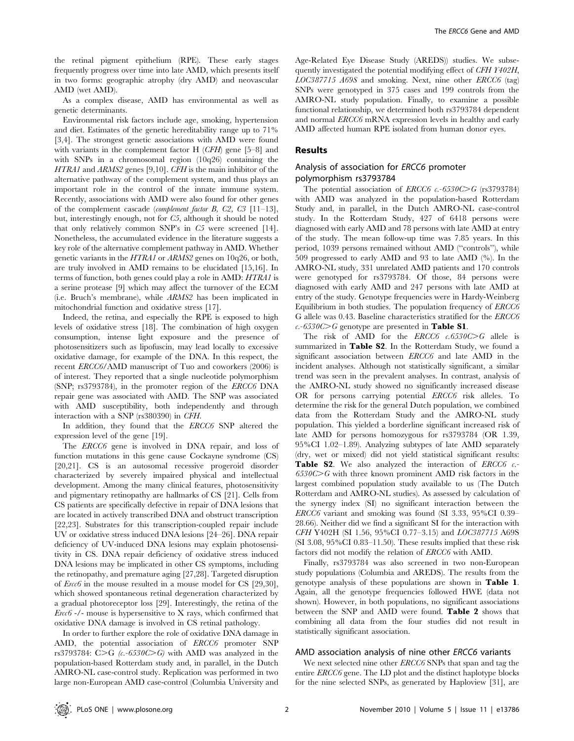the retinal pigment epithelium (RPE). These early stages frequently progress over time into late AMD, which presents itself in two forms: geographic atrophy (dry AMD) and neovascular AMD (wet AMD).

As a complex disease, AMD has environmental as well as genetic determinants.

Environmental risk factors include age, smoking, hypertension and diet. Estimates of the genetic hereditability range up to 71% [3,4]. The strongest genetic associations with AMD were found with variants in the complement factor H  $(CFH)$  gene [5–8] and with SNPs in a chromosomal region (10q26) containing the HTRA1 and ARMS2 genes [9,10]. CFH is the main inhibitor of the alternative pathway of the complement system, and thus plays an important role in the control of the innate immune system. Recently, associations with AMD were also found for other genes of the complement cascade (complement factor  $B$ ,  $C2$ ,  $C3$  [11–13], but, interestingly enough, not for C5, although it should be noted that only relatively common SNP's in C5 were screened [14]. Nonetheless, the accumulated evidence in the literature suggests a key role of the alternative complement pathway in AMD. Whether genetic variants in the HTRA1 or ARMS2 genes on 10q26, or both, are truly involved in AMD remains to be elucidated [15,16]. In terms of function, both genes could play a role in AMD: HTRA1 is a serine protease [9] which may affect the turnover of the ECM (i.e. Bruch's membrane), while ARMS2 has been implicated in mitochondrial function and oxidative stress [17].

Indeed, the retina, and especially the RPE is exposed to high levels of oxidative stress [18]. The combination of high oxygen consumption, intense light exposure and the presence of photosensitizers such as lipofuscin, may lead locally to excessive oxidative damage, for example of the DNA. In this respect, the recent ERCC6/AMD manuscript of Tuo and coworkers (2006) is of interest. They reported that a single nucleotide polymorphism (SNP; rs3793784), in the promoter region of the ERCC6 DNA repair gene was associated with AMD. The SNP was associated with AMD susceptibility, both independently and through interaction with a SNP (rs380390) in CFH.

In addition, they found that the ERCC6 SNP altered the expression level of the gene [19].

The ERCC6 gene is involved in DNA repair, and loss of function mutations in this gene cause Cockayne syndrome (CS) [20,21]. CS is an autosomal recessive progeroid disorder characterized by severely impaired physical and intellectual development. Among the many clinical features, photosensitivity and pigmentary retinopathy are hallmarks of CS [21]. Cells from CS patients are specifically defective in repair of DNA lesions that are located in actively transcribed DNA and obstruct transcription [22,23]. Substrates for this transcription-coupled repair include UV or oxidative stress induced DNA lesions [24–26]. DNA repair deficiency of UV-induced DNA lesions may explain photosensitivity in CS. DNA repair deficiency of oxidative stress induced DNA lesions may be implicated in other CS symptoms, including the retinopathy, and premature aging [27,28]. Targeted disruption of  $\text{Enc6}$  in the mouse resulted in a mouse model for CS [29,30], which showed spontaneous retinal degeneration characterized by a gradual photoreceptor loss [29]. Interestingly, the retina of the *Ercc6* -/- mouse is hypersensitive to X rays, which confirmed that oxidative DNA damage is involved in CS retinal pathology.

In order to further explore the role of oxidative DNA damage in AMD, the potential association of ERCC6 promoter SNP rs3793784: C>G  $(c.-6530C>G)$  with AMD was analyzed in the population-based Rotterdam study and, in parallel, in the Dutch AMRO-NL case-control study. Replication was performed in two large non-European AMD case-control (Columbia University and

Age-Related Eye Disease Study (AREDS)) studies. We subsequently investigated the potential modifying effect of CFH Y402H, LOC387715 A69S and smoking. Next, nine other ERCC6 (tag) SNPs were genotyped in 375 cases and 199 controls from the AMRO-NL study population. Finally, to examine a possible functional relationship, we determined both rs3793784 dependent and normal ERCC6 mRNA expression levels in healthy and early AMD affected human RPE isolated from human donor eyes.

## Results

# Analysis of association for ERCC6 promoter polymorphism rs3793784

The potential association of *ERCC6 c.*-6530C $\geq$  (rs3793784) with AMD was analyzed in the population-based Rotterdam Study and, in parallel, in the Dutch AMRO-NL case-control study. In the Rotterdam Study, 427 of 6418 persons were diagnosed with early AMD and 78 persons with late AMD at entry of the study. The mean follow-up time was 7.85 years. In this period, 1039 persons remained without AMD (''controls''), while 509 progressed to early AMD and 93 to late AMD (%). In the AMRO-NL study, 331 unrelated AMD patients and 170 controls were genotyped for rs3793784. Of those, 84 persons were diagnosed with early AMD and 247 persons with late AMD at entry of the study. Genotype frequencies were in Hardy-Weinberg Equilibrium in both studies. The population frequency of ERCC6 G allele was 0.43. Baseline characteristics stratified for the ERCC6 c.-6530C $\geq G$  genotype are presented in Table S1.

The risk of AMD for the  $ERCC6$   $c.6530C > G$  allele is summarized in Table S2. In the Rotterdam Study, we found a significant association between ERCC6 and late AMD in the incident analyses. Although not statistically significant, a similar trend was seen in the prevalent analyses. In contrast, analysis of the AMRO-NL study showed no significantly increased disease OR for persons carrying potential ERCC6 risk alleles. To determine the risk for the general Dutch population, we combined data from the Rotterdam Study and the AMRO-NL study population. This yielded a borderline significant increased risk of late AMD for persons homozygous for rs3793784 (OR 1.39, 95%CI 1.02–1.89). Analyzing subtypes of late AMD separately (dry, wet or mixed) did not yield statistical significant results: **Table S2.** We also analyzed the interaction of  $ERCC6$  c.  $6530C > G$  with three known prominent AMD risk factors in the largest combined population study available to us (The Dutch Rotterdam and AMRO-NL studies). As assessed by calculation of the synergy index (SI) no significant interaction between the ERCC6 variant and smoking was found (SI 3.33, 95%CI 0.39– 28.66). Neither did we find a significant SI for the interaction with CFH Y402H (SI 1.56, 95%CI 0.77–3.15) and LOC387715 A69S (SI 3.08, 95%CI 0.83–11.50). These results implied that these risk factors did not modify the relation of ERCC6 with AMD.

Finally, rs3793784 was also screened in two non-European study populations (Columbia and AREDS). The results from the genotype analysis of these populations are shown in Table 1. Again, all the genotype frequencies followed HWE (data not shown). However, in both populations, no significant associations between the SNP and AMD were found. Table 2 shows that combining all data from the four studies did not result in statistically significant association.

## AMD association analysis of nine other ERCC6 variants

We next selected nine other *ERCC6* SNPs that span and tag the entire ERCC6 gene. The LD plot and the distinct haplotype blocks for the nine selected SNPs, as generated by Haploview [31], are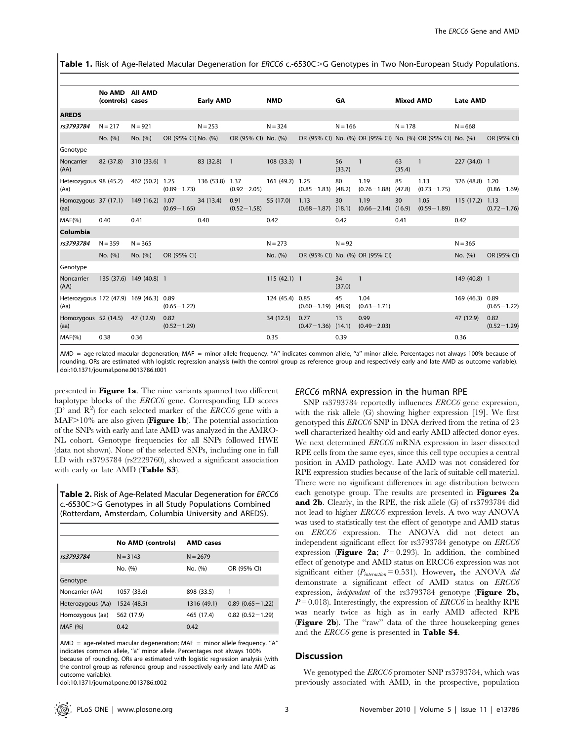Table 1. Risk of Age-Related Macular Degeneration for ERCC6 c.-6530C>G Genotypes in Two Non-European Study Populations.

|                                                                | No AMD All AMD<br>(controls) cases |           |                         | <b>Early AMD</b> |                                    | <b>NMD</b>      |                                  | GA             |                                                             | Mixed AMD |                         | <b>Late AMD</b> |                         |
|----------------------------------------------------------------|------------------------------------|-----------|-------------------------|------------------|------------------------------------|-----------------|----------------------------------|----------------|-------------------------------------------------------------|-----------|-------------------------|-----------------|-------------------------|
| <b>AREDS</b>                                                   |                                    |           |                         |                  |                                    |                 |                                  |                |                                                             |           |                         |                 |                         |
| rs3793784                                                      | $N = 217$                          | $N = 921$ |                         | $N = 253$        |                                    | $N = 324$       |                                  | $N = 166$      |                                                             | $N = 178$ |                         | $N = 668$       |                         |
|                                                                | No. (%)                            | No. (%)   | OR (95% CI) No. (%)     |                  | OR (95% CI) No. (%)                |                 |                                  |                | OR (95% CI) No. (%) OR (95% CI) No. (%) OR (95% CI) No. (%) |           |                         |                 | OR (95% CI)             |
| Genotype                                                       |                                    |           |                         |                  |                                    |                 |                                  |                |                                                             |           |                         |                 |                         |
| Noncarrier<br>(AA)                                             |                                    |           |                         |                  | 82 (37.8) 310 (33.6) 1 83 (32.8) 1 | $108(33.3)$ 1   |                                  | 56 1<br>(33.7) |                                                             | (35.4)    | 63 1                    | 227 (34.0) 1    |                         |
| Heterozygous 98 (45.2) 462 (50.2) 1.25 136 (53.8) 1.37<br>(Aa) |                                    |           | $(0.89 - 1.73)$         |                  | $(0.92 - 2.05)$                    | 161 (49.7) 1.25 | $(0.85 - 1.83)$ $(48.2)$         | 80             | 1.19<br>$(0.76 - 1.88)$ $(47.8)$                            | 85        | 1.13<br>$(0.73 - 1.75)$ | 326 (48.8) 1.20 | $(0.86 - 1.69)$         |
| Homozygous 37 (17.1) 149 (16.2) 1.07 34 (13.4)<br>(aa)         |                                    |           | $(0.69 - 1.65)$         |                  | 0.91<br>$(0.52 - 1.58)$            | 55 (17.0)       | 1.13<br>$(0.68 - 1.87)$ (18.1)   | 30             | 1.19<br>$(0.66 - 2.14)$ (16.9)                              | 30        | 1.05<br>$(0.59 - 1.89)$ | 115 (17.2) 1.13 | $(0.72 - 1.76)$         |
| $MAF(\% )$                                                     | 0.40                               | 0.41      |                         | 0.40             |                                    | 0.42            |                                  | 0.42           |                                                             | 0.41      |                         | 0.42            |                         |
| Columbia                                                       |                                    |           |                         |                  |                                    |                 |                                  |                |                                                             |           |                         |                 |                         |
| rs3793784                                                      | $N = 359$                          | $N = 365$ |                         |                  |                                    | $N = 273$       |                                  | $N = 92$       |                                                             |           |                         | $N = 365$       |                         |
|                                                                | No. (%)                            | No. (%)   | OR (95% CI)             |                  |                                    | No. (%)         |                                  |                | OR (95% CI) No. (%) OR (95% CI)                             |           |                         | No. (%)         | OR (95% CI)             |
| Genotype                                                       |                                    |           |                         |                  |                                    |                 |                                  |                |                                                             |           |                         |                 |                         |
| Noncarrier<br>(AA)                                             | 135 (37.6) 149 (40.8) 1            |           |                         |                  |                                    | $115(42.1)$ 1   |                                  | 34 1<br>(37.0) |                                                             |           |                         | 149 (40.8) 1    |                         |
| Heterozygous 172 (47.9) 169 (46.3) 0.89<br>(Aa)                |                                    |           | $(0.65 - 1.22)$         |                  |                                    | 124 (45.4) 0.85 | $(0.60 - 1.19)$ (48.9)           | 45             | 1.04<br>$(0.63 - 1.71)$                                     |           |                         | 169 (46.3) 0.89 | $(0.65 - 1.22)$         |
| Homozygous 52 (14.5) 47 (12.9)<br>(aa)                         |                                    |           | 0.82<br>$(0.52 - 1.29)$ |                  |                                    | 34 (12.5)       | 0.77<br>$(0.47 - 1.36)$ $(14.1)$ | 13             | 0.99<br>$(0.49 - 2.03)$                                     |           |                         | 47 (12.9)       | 0.82<br>$(0.52 - 1.29)$ |
| $MAF(\% )$                                                     | 0.38                               | 0.36      |                         |                  |                                    | 0.35            |                                  | 0.39           |                                                             |           |                         | 0.36            |                         |

AMD = age-related macular degeneration; MAF = minor allele frequency. "A" indicates common allele, "a" minor allele. Percentages not always 100% because of rounding. ORs are estimated with logistic regression analysis (with the control group as reference group and respectively early and late AMD as outcome variable). doi:10.1371/journal.pone.0013786.t001

presented in Figure 1a. The nine variants spanned two different haplotype blocks of the ERCC6 gene. Corresponding LD scores (D' and  $\mathbb{R}^2$ ) for each selected marker of the  $ERCC6$  gene with a  $MAF > 10\%$  are also given (**Figure 1b**). The potential association of the SNPs with early and late AMD was analyzed in the AMRO-NL cohort. Genotype frequencies for all SNPs followed HWE (data not shown). None of the selected SNPs, including one in full LD with rs3793784 (rs2229760), showed a significant association with early or late AMD (Table S3).

Table 2. Risk of Age-Related Macular Degeneration for ERCC6 c.-6530C>G Genotypes in all Study Populations Combined (Rotterdam, Amsterdam, Columbia University and AREDS).

|                   | No AMD (controls) | <b>AMD cases</b> |                     |
|-------------------|-------------------|------------------|---------------------|
| rs3793784         | $N = 3143$        | $N = 2679$       |                     |
|                   | No. (%)           | No. (%)          | OR (95% CI)         |
| Genotype          |                   |                  |                     |
| Noncarrier (AA)   | 1057 (33.6)       | 898 (33.5)       | 1                   |
| Heterozygous (Aa) | 1524 (48.5)       | 1316 (49.1)      | $0.89(0.65 - 1.22)$ |
| Homozygous (aa)   | 562 (17.9)        | 465 (17.4)       | $0.82(0.52 - 1.29)$ |
| MAF (%)           | 0.42              | 0.42             |                     |

AMD = age-related macular degeneration: MAF = minor allele frequency. "A" indicates common allele, ''a'' minor allele. Percentages not always 100% because of rounding. ORs are estimated with logistic regression analysis (with the control group as reference group and respectively early and late AMD as outcome variable).

doi:10.1371/journal.pone.0013786.t002

## ERCC6 mRNA expression in the human RPE

SNP rs3793784 reportedly influences ERCC6 gene expression, with the risk allele (G) showing higher expression [19]. We first genotyped this ERCC6 SNP in DNA derived from the retina of 23 well characterized healthy old and early AMD affected donor eyes. We next determined ERCC6 mRNA expression in laser dissected RPE cells from the same eyes, since this cell type occupies a central position in AMD pathology. Late AMD was not considered for RPE expression studies because of the lack of suitable cell material. There were no significant differences in age distribution between each genotype group. The results are presented in **Figures 2a** and 2b. Clearly, in the RPE, the risk allele (G) of rs3793784 did not lead to higher ERCC6 expression levels. A two way ANOVA was used to statistically test the effect of genotype and AMD status on ERCC6 expression. The ANOVA did not detect an independent significant effect for rs3793784 genotype on ERCC6 expression (Figure 2a;  $P = 0.293$ ). In addition, the combined effect of genotype and AMD status on ERCC6 expression was not significant either  $(P_{interaction} = 0.531)$ . However, the ANOVA did demonstrate a significant effect of AMD status on ERCC6 expression, *independent* of the rs3793784 genotype (Figure 2b,  $P = 0.018$ . Interestingly, the expression of *ERCC6* in healthy RPE was nearly twice as high as in early AMD affected RPE (Figure 2b). The ''raw'' data of the three housekeeping genes and the ERCC6 gene is presented in Table S4.

#### Discussion

We genotyped the ERCC6 promoter SNP rs3793784, which was previously associated with AMD, in the prospective, population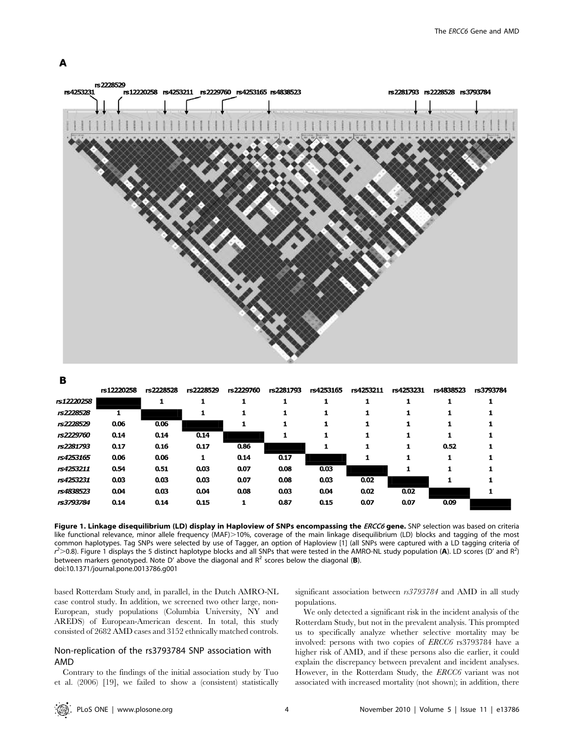



#### B

|            | rs12220258 | rs2228528 | rs2228529 | rs2229760 | rs2281793 | rs4253165 | rs4253211 | rs4253231 | rs4838523 | rs3793784 |
|------------|------------|-----------|-----------|-----------|-----------|-----------|-----------|-----------|-----------|-----------|
| rs12220258 |            |           |           | 1         |           |           |           |           |           |           |
| rs2228528  |            |           |           |           |           |           |           |           |           |           |
| rs2228529  | 0.06       | 0.06      |           | 1         |           |           |           |           |           |           |
| rs2229760  | 0.14       | 0.14      | 0.14      |           |           |           |           |           |           |           |
| rs2281793  | 0.17       | 0.16      | 0.17      | 0.86      |           |           |           |           | 0.52      |           |
| rs4253165  | 0.06       | 0.06      | 1         | 0.14      | 0.17      |           |           |           |           |           |
| rs4253211  | 0.54       | 0.51      | 0.03      | 0.07      | 0.08      | 0.03      |           |           |           |           |
| rs4253231  | 0.03       | 0.03      | 0.03      | 0.07      | 0.08      | 0.03      | 0.02      |           |           |           |
| rs4838523  | 0.04       | 0.03      | 0.04      | 0.08      | 0.03      | 0.04      | 0.02      | 0.02      |           |           |
| rs3793784  | 0.14       | 0.14      | 0.15      | 1         | 0.87      | 0.15      | 0.07      | 0.07      | 0.09      |           |
|            |            |           |           |           |           |           |           |           |           |           |

Figure 1. Linkage disequilibrium (LD) display in Haploview of SNPs encompassing the ERCC6 gene. SNP selection was based on criteria like functional relevance, minor allele frequency (MAF)>10%, coverage of the main linkage disequilibrium (LD) blocks and tagging of the most common haplotypes. Tag SNPs were selected by use of Tagger, an option of Haploview [1] (all SNPs were captured with a LD tagging criteria of  $r$   $>$  0.8). Figure 1 displays the 5 distinct haplotype blocks and all SNPs that were tested in the AMRO-NL study population (A). LD scores (D' and R<sup>2</sup>) between markers genotyped. Note D' above the diagonal and  $R^2$  scores below the diagonal (**B**). doi:10.1371/journal.pone.0013786.g001

based Rotterdam Study and, in parallel, in the Dutch AMRO-NL case control study. In addition, we screened two other large, non-European, study populations (Columbia University, NY and AREDS) of European-American descent. In total, this study consisted of 2682 AMD cases and 3152 ethnically matched controls.

## Non-replication of the rs3793784 SNP association with AMD

Contrary to the findings of the initial association study by Tuo et al. (2006) [19], we failed to show a (consistent) statistically significant association between rs3793784 and AMD in all study populations.

We only detected a significant risk in the incident analysis of the Rotterdam Study, but not in the prevalent analysis. This prompted us to specifically analyze whether selective mortality may be involved: persons with two copies of ERCC6 rs3793784 have a higher risk of AMD, and if these persons also die earlier, it could explain the discrepancy between prevalent and incident analyses. However, in the Rotterdam Study, the ERCC6 variant was not associated with increased mortality (not shown); in addition, there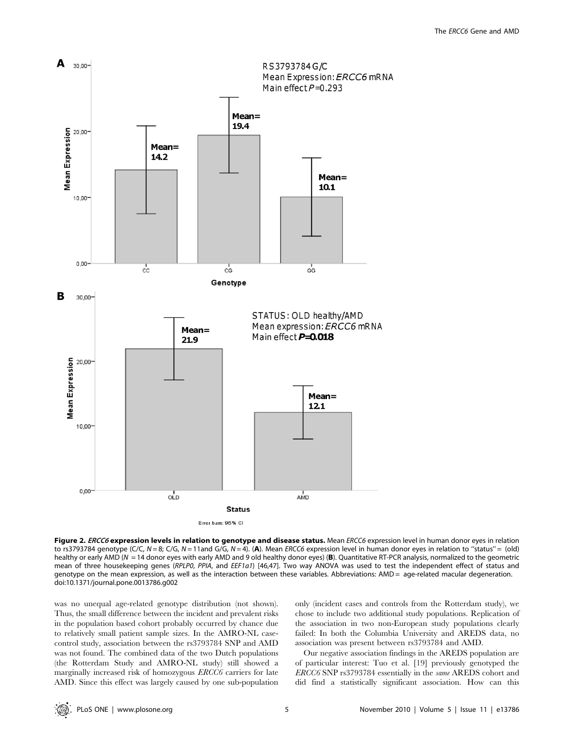

Figure 2. ERCC6 expression levels in relation to genotype and disease status. Mean ERCC6 expression level in human donor eyes in relation to rs3793784 genotype (C/C, N = 8; C/G, N = 11and G/G, N = 4). (A). Mean *ERCC6* expression level in human donor eyes in relation to "status" = (old) healthy or early AMD (N = 14 donor eyes with early AMD and 9 old healthy donor eyes) (B). Quantitative RT-PCR analysis, normalized to the geometric mean of three housekeeping genes (RPLP0, PPIA, and EEF1a1) [46,47]. Two way ANOVA was used to test the independent effect of status and genotype on the mean expression, as well as the interaction between these variables. Abbreviations: AMD = age-related macular degeneration. doi:10.1371/journal.pone.0013786.g002

was no unequal age-related genotype distribution (not shown). Thus, the small difference between the incident and prevalent risks in the population based cohort probably occurred by chance due to relatively small patient sample sizes. In the AMRO-NL casecontrol study, association between the rs3793784 SNP and AMD was not found. The combined data of the two Dutch populations (the Rotterdam Study and AMRO-NL study) still showed a marginally increased risk of homozygous ERCC6 carriers for late AMD. Since this effect was largely caused by one sub-population only (incident cases and controls from the Rotterdam study), we chose to include two additional study populations. Replication of the association in two non-European study populations clearly failed: In both the Columbia University and AREDS data, no association was present between rs3793784 and AMD.

Our negative association findings in the AREDS population are of particular interest: Tuo et al. [19] previously genotyped the ERCC6 SNP rs3793784 essentially in the same AREDS cohort and did find a statistically significant association. How can this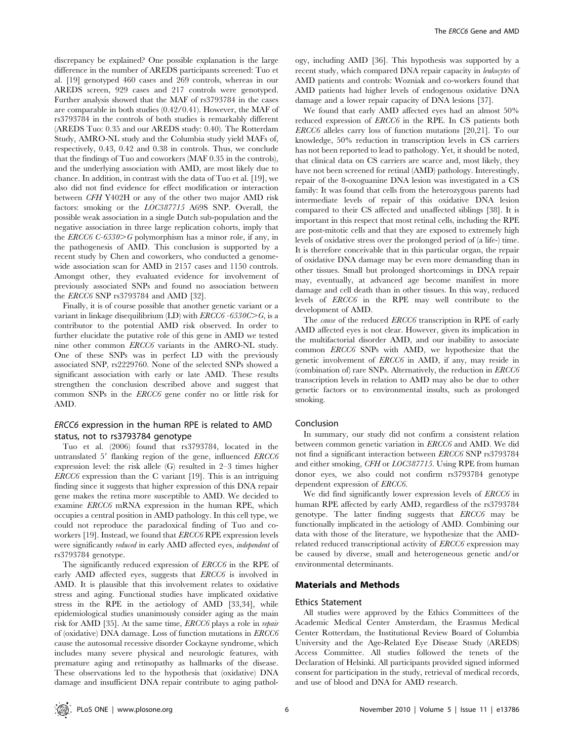discrepancy be explained? One possible explanation is the large difference in the number of AREDS participants screened: Tuo et al. [19] genotyped 460 cases and 269 controls, whereas in our AREDS screen, 929 cases and 217 controls were genotyped. Further analysis showed that the MAF of rs3793784 in the cases are comparable in both studies (0.42/0.41). However, the MAF of rs3793784 in the controls of both studies is remarkably different (AREDS Tuo: 0.35 and our AREDS study: 0.40). The Rotterdam Study, AMRO-NL study and the Columbia study yield MAFs of, respectively, 0.43, 0.42 and 0.38 in controls. Thus, we conclude that the findings of Tuo and coworkers (MAF 0.35 in the controls), and the underlying association with AMD, are most likely due to chance. In addition, in contrast with the data of Tuo et al. [19], we also did not find evidence for effect modification or interaction between CFH Y402H or any of the other two major AMD risk factors: smoking or the LOC387715 A69S SNP. Overall, the possible weak association in a single Dutch sub-population and the negative association in three large replication cohorts, imply that the *ERCC6 C-6530>G* polymorphism has a minor role, if any, in the pathogenesis of AMD. This conclusion is supported by a recent study by Chen and coworkers, who conducted a genomewide association scan for AMD in 2157 cases and 1150 controls. Amongst other, they evaluated evidence for involvement of previously associated SNPs and found no association between the ERCC6 SNP rs3793784 and AMD [32].

Finally, it is of course possible that another genetic variant or a variant in linkage disequilibrium (LD) with  $ERCC6 - 6530C > G$ , is a contributor to the potential AMD risk observed. In order to further elucidate the putative role of this gene in AMD we tested nine other common ERCC6 variants in the AMRO-NL study. One of these SNPs was in perfect LD with the previously associated SNP, rs2229760. None of the selected SNPs showed a significant association with early or late AMD. These results strengthen the conclusion described above and suggest that common SNPs in the ERCC6 gene confer no or little risk for AMD.

# ERCC6 expression in the human RPE is related to AMD status, not to rs3793784 genotype

Tuo et al. (2006) found that rs3793784, located in the untranslated  $5'$  flanking region of the gene, influenced  $ERCC6$ expression level: the risk allele (G) resulted in 2–3 times higher ERCC6 expression than the C variant [19]. This is an intriguing finding since it suggests that higher expression of this DNA repair gene makes the retina more susceptible to AMD. We decided to examine ERCC6 mRNA expression in the human RPE, which occupies a central position in AMD pathology. In this cell type, we could not reproduce the paradoxical finding of Tuo and coworkers [19]. Instead, we found that ERCC6 RPE expression levels were significantly reduced in early AMD affected eyes, independent of rs3793784 genotype.

The significantly reduced expression of ERCC6 in the RPE of early AMD affected eyes, suggests that *ERCC6* is involved in AMD. It is plausible that this involvement relates to oxidative stress and aging. Functional studies have implicated oxidative stress in the RPE in the aetiology of AMD [33,34], while epidemiological studies unanimously consider aging as the main risk for AMD [35]. At the same time, ERCC6 plays a role in repair of (oxidative) DNA damage. Loss of function mutations in ERCC6 cause the autosomal recessive disorder Cockayne syndrome, which includes many severe physical and neurologic features, with premature aging and retinopathy as hallmarks of the disease. These observations led to the hypothesis that (oxidative) DNA damage and insufficient DNA repair contribute to aging pathology, including AMD [36]. This hypothesis was supported by a recent study, which compared DNA repair capacity in leukocytes of AMD patients and controls: Wozniak and co-workers found that AMD patients had higher levels of endogenous oxidative DNA damage and a lower repair capacity of DNA lesions [37].

We found that early AMD affected eyes had an almost 50% reduced expression of ERCC6 in the RPE. In CS patients both ERCC6 alleles carry loss of function mutations [20,21]. To our knowledge, 50% reduction in transcription levels in CS carriers has not been reported to lead to pathology. Yet, it should be noted, that clinical data on CS carriers are scarce and, most likely, they have not been screened for retinal (AMD) pathology. Interestingly, repair of the 8-oxoguanine DNA lesion was investigated in a CS family: It was found that cells from the heterozygous parents had intermediate levels of repair of this oxidative DNA lesion compared to their CS affected and unaffected siblings [38]. It is important in this respect that most retinal cells, including the RPE are post-mitotic cells and that they are exposed to extremely high levels of oxidative stress over the prolonged period of (a life-) time. It is therefore conceivable that in this particular organ, the repair of oxidative DNA damage may be even more demanding than in other tissues. Small but prolonged shortcomings in DNA repair may, eventually, at advanced age become manifest in more damage and cell death than in other tissues. In this way, reduced levels of ERCC6 in the RPE may well contribute to the development of AMD.

The *cause* of the reduced *ERCC6* transcription in RPE of early AMD affected eyes is not clear. However, given its implication in the multifactorial disorder AMD, and our inability to associate common ERCC6 SNPs with AMD, we hypothesize that the genetic involvement of ERCC6 in AMD, if any, may reside in (combination of) rare SNPs. Alternatively, the reduction in ERCC6 transcription levels in relation to AMD may also be due to other genetic factors or to environmental insults, such as prolonged smoking.

## Conclusion

In summary, our study did not confirm a consistent relation between common genetic variation in ERCC6 and AMD. We did not find a significant interaction between ERCC6 SNP rs3793784 and either smoking, CFH or LOC387715. Using RPE from human donor eyes, we also could not confirm rs3793784 genotype dependent expression of ERCC6.

We did find significantly lower expression levels of ERCC6 in human RPE affected by early AMD, regardless of the rs3793784 genotype. The latter finding suggests that ERCC6 may be functionally implicated in the aetiology of AMD. Combining our data with those of the literature, we hypothesize that the AMDrelated reduced transcriptional activity of ERCC6 expression may be caused by diverse, small and heterogeneous genetic and/or environmental determinants.

#### Materials and Methods

#### Ethics Statement

All studies were approved by the Ethics Committees of the Academic Medical Center Amsterdam, the Erasmus Medical Center Rotterdam, the Institutional Review Board of Columbia University and the Age-Related Eye Disease Study (AREDS) Access Committee. All studies followed the tenets of the Declaration of Helsinki. All participants provided signed informed consent for participation in the study, retrieval of medical records, and use of blood and DNA for AMD research.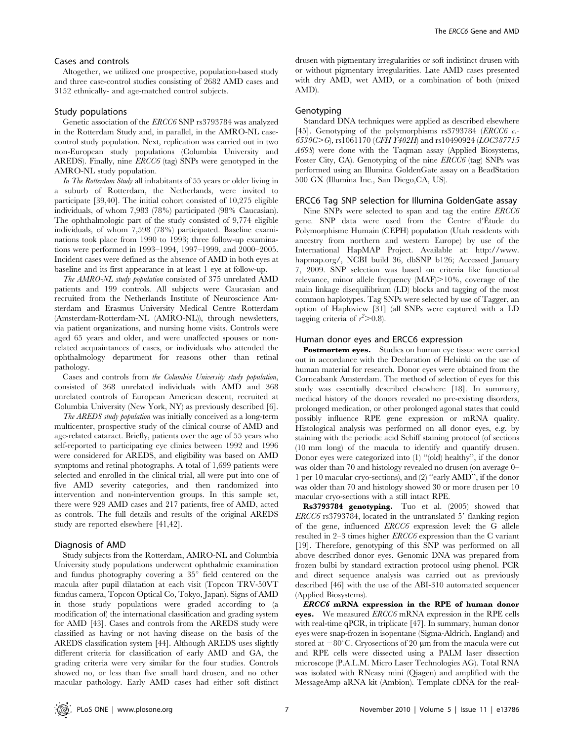#### Cases and controls

Altogether, we utilized one prospective, population-based study and three case-control studies consisting of 2682 AMD cases and 3152 ethnically- and age-matched control subjects.

#### Study populations

Genetic association of the ERCC6 SNP rs3793784 was analyzed in the Rotterdam Study and, in parallel, in the AMRO-NL casecontrol study population. Next, replication was carried out in two non-European study populations (Columbia University and AREDS). Finally, nine ERCC6 (tag) SNPs were genotyped in the AMRO-NL study population.

In The Rotterdam Study all inhabitants of 55 years or older living in a suburb of Rotterdam, the Netherlands, were invited to participate [39,40]. The initial cohort consisted of 10,275 eligible individuals, of whom 7,983 (78%) participated (98% Caucasian). The ophthalmologic part of the study consisted of 9,774 eligible individuals, of whom 7,598 (78%) participated. Baseline examinations took place from 1990 to 1993; three follow-up examinations were performed in 1993–1994, 1997–1999, and 2000–2005. Incident cases were defined as the absence of AMD in both eyes at baseline and its first appearance in at least 1 eye at follow-up.

The AMRO-NL study population consisted of 375 unrelated AMD patients and 199 controls. All subjects were Caucasian and recruited from the Netherlands Institute of Neuroscience Amsterdam and Erasmus University Medical Centre Rotterdam (Amsterdam-Rotterdam-NL (AMRO-NL)), through newsletters, via patient organizations, and nursing home visits. Controls were aged 65 years and older, and were unaffected spouses or nonrelated acquaintances of cases, or individuals who attended the ophthalmology department for reasons other than retinal pathology.

Cases and controls from the Columbia University study population, consisted of 368 unrelated individuals with AMD and 368 unrelated controls of European American descent, recruited at Columbia University (New York, NY) as previously described [6].

The AREDS study population was initially conceived as a long-term multicenter, prospective study of the clinical course of AMD and age-related cataract. Briefly, patients over the age of 55 years who self-reported to participating eye clinics between 1992 and 1996 were considered for AREDS, and eligibility was based on AMD symptoms and retinal photographs. A total of 1,699 patients were selected and enrolled in the clinical trial, all were put into one of five AMD severity categories, and then randomized into intervention and non-intervention groups. In this sample set, there were 929 AMD cases and 217 patients, free of AMD, acted as controls. The full details and results of the original AREDS study are reported elsewhere [41,42].

#### Diagnosis of AMD

Study subjects from the Rotterdam, AMRO-NL and Columbia University study populations underwent ophthalmic examination and fundus photography covering a  $35^{\circ}$  field centered on the macula after pupil dilatation at each visit (Topcon TRV-50VT fundus camera, Topcon Optical Co, Tokyo, Japan). Signs of AMD in those study populations were graded according to (a modification of) the international classification and grading system for AMD [43]. Cases and controls from the AREDS study were classified as having or not having disease on the basis of the AREDS classification system [44]. Although AREDS uses slightly different criteria for classification of early AMD and GA, the grading criteria were very similar for the four studies. Controls showed no, or less than five small hard drusen, and no other macular pathology. Early AMD cases had either soft distinct

drusen with pigmentary irregularities or soft indistinct drusen with or without pigmentary irregularities. Late AMD cases presented with dry AMD, wet AMD, or a combination of both (mixed AMD).

# Genotyping

Standard DNA techniques were applied as described elsewhere [45]. Genotyping of the polymorphisms rs3793784 (*ERCC6 c.*- $6530C > G$ ), rs1061170 (CFH Y402H) and rs10490924 (LOC387715 A69S) were done with the Taqman assay (Applied Biosystems, Foster City, CA). Genotyping of the nine ERCC6 (tag) SNPs was performed using an Illumina GoldenGate assay on a BeadStation 500 GX (Illumina Inc., San Diego,CA, US).

#### ERCC6 Tag SNP selection for Illumina GoldenGate assay

Nine SNPs were selected to span and tag the entire ERCC6 gene. SNP data were used from the Centre d'Étude du Polymorphisme Humain (CEPH) population (Utah residents with ancestry from northern and western Europe) by use of the International HapMAP Project. Available at: http://www. hapmap.org/, NCBI build 36, dbSNP b126; Accessed January 7, 2009. SNP selection was based on criteria like functional relevance, minor allele frequency  $(MAF) > 10\%$ , coverage of the main linkage disequilibrium (LD) blocks and tagging of the most common haplotypes. Tag SNPs were selected by use of Tagger, an option of Haploview [31] (all SNPs were captured with a LD tagging criteria of  $r^2 > 0.8$ ).

# Human donor eyes and ERCC6 expression

**Postmortem eyes.** Studies on human eye tissue were carried out in accordance with the Declaration of Helsinki on the use of human material for research. Donor eyes were obtained from the Corneabank Amsterdam. The method of selection of eyes for this study was essentially described elsewhere [18]. In summary, medical history of the donors revealed no pre-existing disorders, prolonged medication, or other prolonged agonal states that could possibly influence RPE gene expression or mRNA quality. Histological analysis was performed on all donor eyes, e.g. by staining with the periodic acid Schiff staining protocol (of sections (10 mm long) of the macula to identify and quantify drusen. Donor eyes were categorized into (1) ''(old) healthy'', if the donor was older than 70 and histology revealed no drusen (on average 0– 1 per 10 macular cryo-sections), and (2) ''early AMD'', if the donor was older than 70 and histology showed 30 or more drusen per 10 macular cryo-sections with a still intact RPE.

Rs3793784 genotyping. Tuo et al. (2005) showed that  $ERCC6$  rs3793784, located in the untranslated  $5'$  flanking region of the gene, influenced ERCC6 expression level: the G allele resulted in 2–3 times higher ERCC6 expression than the C variant [19]. Therefore, genotyping of this SNP was performed on all above described donor eyes. Genomic DNA was prepared from frozen bulbi by standard extraction protocol using phenol. PCR and direct sequence analysis was carried out as previously described [46] with the use of the ABI-310 automated sequencer (Applied Biosystems).

ERCC6 mRNA expression in the RPE of human donor eyes. We measured ERCC6 mRNA expression in the RPE cells with real-time qPCR, in triplicate [47]. In summary, human donor eyes were snap-frozen in isopentane (Sigma-Aldrich, England) and stored at  $-80^{\circ}$ C. Cryosections of 20  $\mu$ m from the macula were cut and RPE cells were dissected using a PALM laser dissection microscope (P.A.L.M. Micro Laser Technologies AG). Total RNA was isolated with RNeasy mini (Qiagen) and amplified with the MessageAmp aRNA kit (Ambion). Template cDNA for the real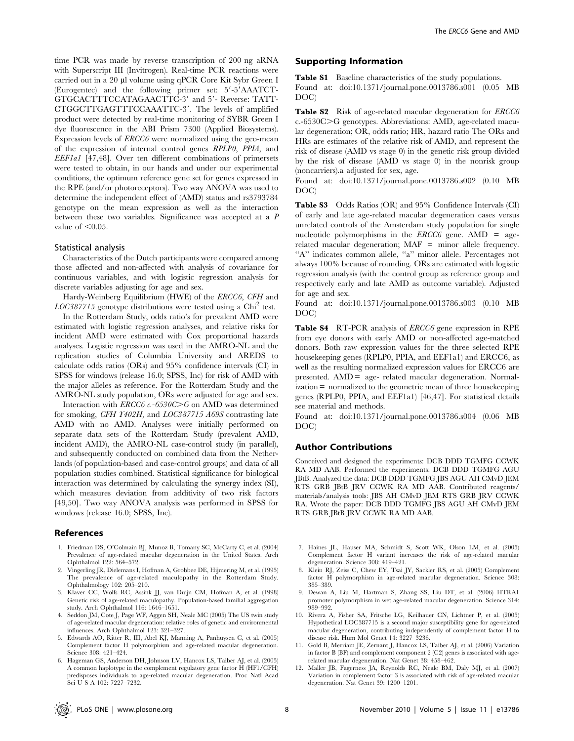time PCR was made by reverse transcription of 200 ng aRNA with Superscript III (Invitrogen). Real-time PCR reactions were carried out in a 20  $\upmu\!$  volume using qPCR Core Kit Sybr Green I (Eurogentec) and the following primer set: 5'-5'AAATCT-GTGCACTTTCCATAGAACTTC-3' and 5'- Reverse: TATT-CTGGCTTGAGTTTCCAAATTC-3'. The levels of amplified product were detected by real-time monitoring of SYBR Green I dye fluorescence in the ABI Prism 7300 (Applied Biosystems). Expression levels of ERCC6 were normalized using the geo-mean of the expression of internal control genes RPLP0, PPIA, and EEF1a1 [47,48]. Over ten different combinations of primersets were tested to obtain, in our hands and under our experimental conditions, the optimum reference gene set for genes expressed in the RPE (and/or photoreceptors). Two way ANOVA was used to determine the independent effect of (AMD) status and rs3793784 genotype on the mean expression as well as the interaction between these two variables. Significance was accepted at a P value of  $< 0.05$ .

#### Statistical analysis

Characteristics of the Dutch participants were compared among those affected and non-affected with analysis of covariance for continuous variables, and with logistic regression analysis for discrete variables adjusting for age and sex.

Hardy-Weinberg Equilibrium (HWE) of the ERCC6, CFH and  $LOG387715$  genotype distributions were tested using a Chi<sup>2</sup> test.

In the Rotterdam Study, odds ratio's for prevalent AMD were estimated with logistic regression analyses, and relative risks for incident AMD were estimated with Cox proportional hazards analyses. Logistic regression was used in the AMRO-NL and the replication studies of Columbia University and AREDS to calculate odds ratios (ORs) and 95% confidence intervals (CI) in SPSS for windows (release 16.0; SPSS, Inc) for risk of AMD with the major alleles as reference. For the Rotterdam Study and the AMRO-NL study population, ORs were adjusted for age and sex.

Interaction with  $ERCC6$  c.-6530C $\geq G$  on AMD was determined for smoking, CFH Y402H, and LOC387715 A69S contrasting late AMD with no AMD. Analyses were initially performed on separate data sets of the Rotterdam Study (prevalent AMD, incident AMD), the AMRO-NL case-control study (in parallel), and subsequently conducted on combined data from the Netherlands (of population-based and case-control groups) and data of all population studies combined. Statistical significance for biological interaction was determined by calculating the synergy index (SI), which measures deviation from additivity of two risk factors [49,50]. Two way ANOVA analysis was performed in SPSS for windows (release 16.0; SPSS, Inc).

#### References

- 1. Friedman DS, O'Colmain BJ, Munoz B, Tomany SC, McCarty C, et al. (2004) Prevalence of age-related macular degeneration in the United States. Arch Ophthalmol 122: 564–572.
- 2. Vingerling JR, Dielemans I, Hofman A, Grobbee DE, Hijmering M, et al. (1995) The prevalence of age-related maculopathy in the Rotterdam Study. Ophthalmology 102: 205–210.
- 3. Klaver CC, Wolfs RC, Assink JJ, van Duijn CM, Hofman A, et al. (1998) Genetic risk of age-related maculopathy. Population-based familial aggregation study. Arch Ophthalmol 116: 1646–1651.
- 4. Seddon JM, Cote J, Page WF, Aggen SH, Neale MC (2005) The US twin study of age-related macular degeneration: relative roles of genetic and environmental influences. Arch Ophthalmol 123: 321–327.
- 5. Edwards AO, Ritter R, III, Abel KJ, Manning A, Panhuysen C, et al. (2005) Complement factor H polymorphism and age-related macular degeneration. Science 308: 421–424.
- 6. Hageman GS, Anderson DH, Johnson LV, Hancox LS, Taiber AJ, et al. (2005) A common haplotype in the complement regulatory gene factor H (HF1/CFH) predisposes individuals to age-related macular degeneration. Proc Natl Acad Sci U S A 102: 7227–7232.

## Supporting Information

Table S1 Baseline characteristics of the study populations. Found at: doi:10.1371/journal.pone.0013786.s001 (0.05 MB DOC)

Table S2 Risk of age-related macular degeneration for *ERCC6* c.-6530C>G genotypes. Abbreviations: AMD, age-related macular degeneration; OR, odds ratio; HR, hazard ratio The ORs and HRs are estimates of the relative risk of AMD, and represent the risk of disease (AMD vs stage 0) in the genetic risk group divided by the risk of disease (AMD vs stage 0) in the nonrisk group (noncarriers).a adjusted for sex, age.

Found at: doi:10.1371/journal.pone.0013786.s002 (0.10 MB DOC)

Table S3 Odds Ratios (OR) and 95% Confidence Intervals (CI) of early and late age-related macular degeneration cases versus unrelated controls of the Amsterdam study population for single nucleotide polymorphisms in the  $ERCC6$  gene. AMD = agerelated macular degeneration; MAF = minor allele frequency. "A" indicates common allele, "a" minor allele. Percentages not always 100% because of rounding. ORs are estimated with logistic regression analysis (with the control group as reference group and respectively early and late AMD as outcome variable). Adjusted for age and sex.

Found at: doi:10.1371/journal.pone.0013786.s003 (0.10 MB DOC)

Table S4 RT-PCR analysis of ERCC6 gene expression in RPE from eye donors with early AMD or non-affected age-matched donors. Both raw expression values for the three selected RPE housekeeping genes (RPLP0, PPIA, and EEF1a1) and ERCC6, as well as the resulting normalized expression values for ERCC6 are presented. AMD = age- related macular degeneration. Normalization = normalized to the geometric mean of three housekeeping genes (RPLP0, PPIA, and EEF1a1) [46,47]. For statistical details see material and methods.

Found at: doi:10.1371/journal.pone.0013786.s004 (0.06 MB DOC)

#### Author Contributions

Conceived and designed the experiments: DCB DDD TGMFG CCWK RA MD AAB. Performed the experiments: DCB DDD TGMFG AGU JBtB. Analyzed the data: DCB DDD TGMFG JBS AGU AH CMvD JEM RTS GRB JBtB JRV CCWK RA MD AAB. Contributed reagents/ materials/analysis tools: JBS AH CMvD JEM RTS GRB JRV CCWK RA. Wrote the paper: DCB DDD TGMFG JBS AGU AH CMvD JEM RTS GRB JBtB JRV CCWK RA MD AAB.

- 7. Haines JL, Hauser MA, Schmidt S, Scott WK, Olson LM, et al. (2005) Complement factor H variant increases the risk of age-related macular degeneration. Science 308: 419–421.
- 8. Klein RJ, Zeiss C, Chew EY, Tsai JY, Sackler RS, et al. (2005) Complement factor H polymorphism in age-related macular degeneration. Science 308: 385–389.
- 9. Dewan A, Liu M, Hartman S, Zhang SS, Liu DT, et al. (2006) HTRA1 promoter polymorphism in wet age-related macular degeneration. Science 314: 989–992.
- 10. Rivera A, Fisher SA, Fritsche LG, Keilhauer CN, Lichtner P, et al. (2005) Hypothetical LOC387715 is a second major susceptibility gene for age-related macular degeneration, contributing independently of complement factor H to disease risk. Hum Mol Genet 14: 3227–3236.
- 11. Gold B, Merriam JE, Zernant J, Hancox LS, Taiber AJ, et al. (2006) Variation in factor B (BF) and complement component 2 (C2) genes is associated with agerelated macular degeneration. Nat Genet 38: 458–462.
- 12. Maller JB, Fagerness JA, Reynolds RC, Neale BM, Daly MJ, et al. (2007) Variation in complement factor 3 is associated with risk of age-related macular degeneration. Nat Genet 39: 1200–1201.